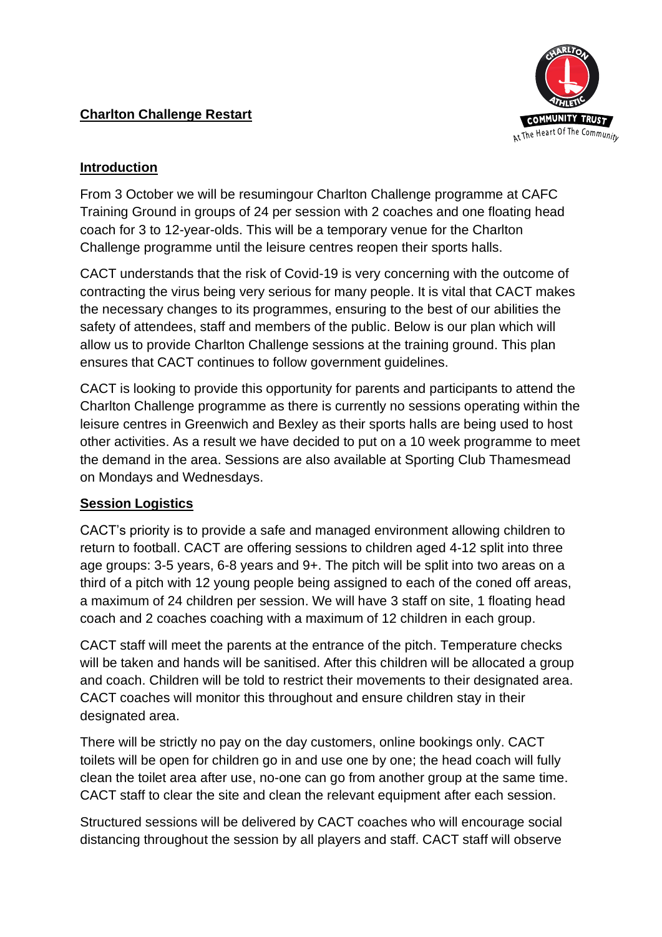# **Charlton Challenge Restart**



## **Introduction**

From 3 October we will be resumingour Charlton Challenge programme at CAFC Training Ground in groups of 24 per session with 2 coaches and one floating head coach for 3 to 12-year-olds. This will be a temporary venue for the Charlton Challenge programme until the leisure centres reopen their sports halls.

CACT understands that the risk of Covid-19 is very concerning with the outcome of contracting the virus being very serious for many people. It is vital that CACT makes the necessary changes to its programmes, ensuring to the best of our abilities the safety of attendees, staff and members of the public. Below is our plan which will allow us to provide Charlton Challenge sessions at the training ground. This plan ensures that CACT continues to follow government guidelines.

CACT is looking to provide this opportunity for parents and participants to attend the Charlton Challenge programme as there is currently no sessions operating within the leisure centres in Greenwich and Bexley as their sports halls are being used to host other activities. As a result we have decided to put on a 10 week programme to meet the demand in the area. Sessions are also available at Sporting Club Thamesmead on Mondays and Wednesdays.

## **Session Logistics**

CACT's priority is to provide a safe and managed environment allowing children to return to football. CACT are offering sessions to children aged 4-12 split into three age groups: 3-5 years, 6-8 years and 9+. The pitch will be split into two areas on a third of a pitch with 12 young people being assigned to each of the coned off areas, a maximum of 24 children per session. We will have 3 staff on site, 1 floating head coach and 2 coaches coaching with a maximum of 12 children in each group.

CACT staff will meet the parents at the entrance of the pitch. Temperature checks will be taken and hands will be sanitised. After this children will be allocated a group and coach. Children will be told to restrict their movements to their designated area. CACT coaches will monitor this throughout and ensure children stay in their designated area.

There will be strictly no pay on the day customers, online bookings only. CACT toilets will be open for children go in and use one by one; the head coach will fully clean the toilet area after use, no-one can go from another group at the same time. CACT staff to clear the site and clean the relevant equipment after each session.

Structured sessions will be delivered by CACT coaches who will encourage social distancing throughout the session by all players and staff. CACT staff will observe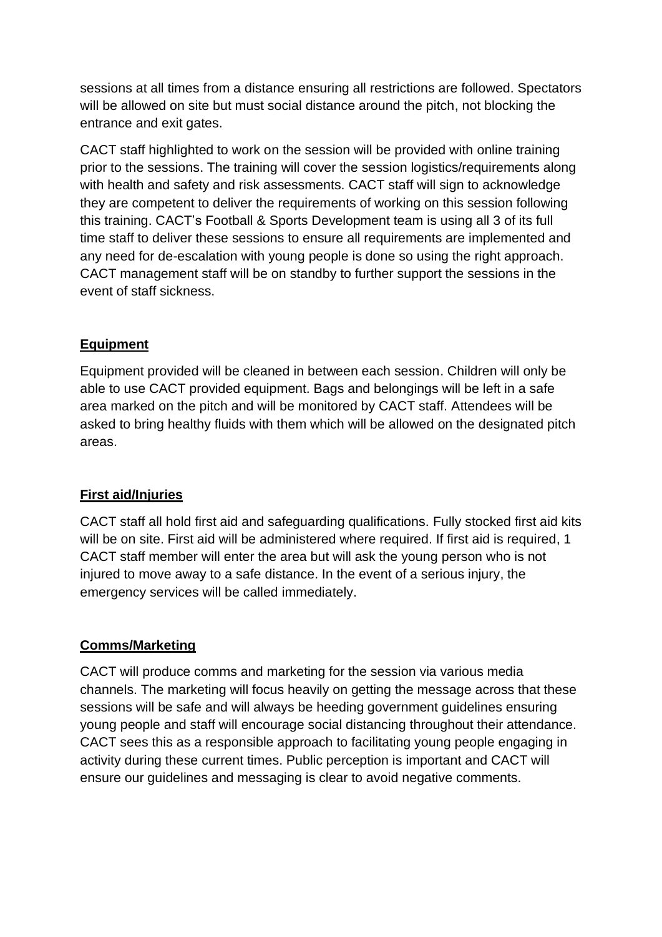sessions at all times from a distance ensuring all restrictions are followed. Spectators will be allowed on site but must social distance around the pitch, not blocking the entrance and exit gates.

CACT staff highlighted to work on the session will be provided with online training prior to the sessions. The training will cover the session logistics/requirements along with health and safety and risk assessments. CACT staff will sign to acknowledge they are competent to deliver the requirements of working on this session following this training. CACT's Football & Sports Development team is using all 3 of its full time staff to deliver these sessions to ensure all requirements are implemented and any need for de-escalation with young people is done so using the right approach. CACT management staff will be on standby to further support the sessions in the event of staff sickness.

## **Equipment**

Equipment provided will be cleaned in between each session. Children will only be able to use CACT provided equipment. Bags and belongings will be left in a safe area marked on the pitch and will be monitored by CACT staff. Attendees will be asked to bring healthy fluids with them which will be allowed on the designated pitch areas.

## **First aid/Injuries**

CACT staff all hold first aid and safeguarding qualifications. Fully stocked first aid kits will be on site. First aid will be administered where required. If first aid is required, 1 CACT staff member will enter the area but will ask the young person who is not injured to move away to a safe distance. In the event of a serious injury, the emergency services will be called immediately.

## **Comms/Marketing**

CACT will produce comms and marketing for the session via various media channels. The marketing will focus heavily on getting the message across that these sessions will be safe and will always be heeding government guidelines ensuring young people and staff will encourage social distancing throughout their attendance. CACT sees this as a responsible approach to facilitating young people engaging in activity during these current times. Public perception is important and CACT will ensure our guidelines and messaging is clear to avoid negative comments.